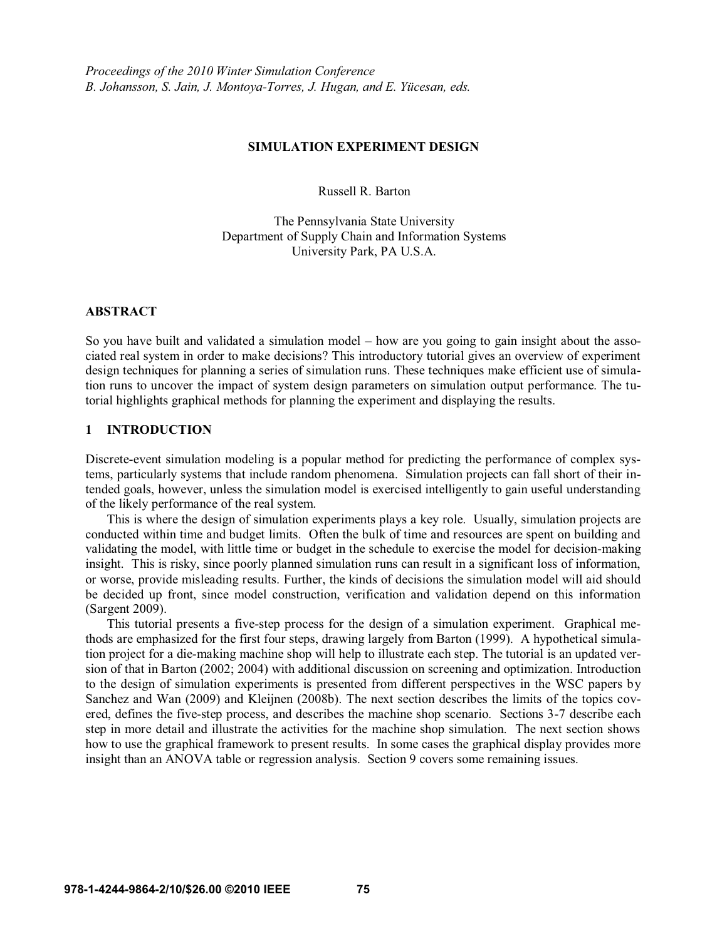## **SIMULATION EXPERIMENT DESIGN**

Russell R. Barton

The Pennsylvania State University Department of Supply Chain and Information Systems University Park, PA U.S.A.

## **ABSTRACT**

So you have built and validated a simulation model – how are you going to gain insight about the associated real system in order to make decisions? This introductory tutorial gives an overview of experiment design techniques for planning a series of simulation runs. These techniques make efficient use of simulation runs to uncover the impact of system design parameters on simulation output performance. The tutorial highlights graphical methods for planning the experiment and displaying the results.

# **1 INTRODUCTION**

Discrete-event simulation modeling is a popular method for predicting the performance of complex systems, particularly systems that include random phenomena. Simulation projects can fall short of their intended goals, however, unless the simulation model is exercised intelligently to gain useful understanding of the likely performance of the real system.

This is where the design of simulation experiments plays a key role. Usually, simulation projects are conducted within time and budget limits. Often the bulk of time and resources are spent on building and validating the model, with little time or budget in the schedule to exercise the model for decision-making insight. This is risky, since poorly planned simulation runs can result in a significant loss of information, or worse, provide misleading results. Further, the kinds of decisions the simulation model will aid should be decided up front, since model construction, verification and validation depend on this information (Sargent 2009).

This tutorial presents a five-step process for the design of a simulation experiment. Graphical methods are emphasized for the first four steps, drawing largely from Barton (1999). A hypothetical simulation project for a die-making machine shop will help to illustrate each step. The tutorial is an updated version of that in Barton (2002; 2004) with additional discussion on screening and optimization. Introduction to the design of simulation experiments is presented from different perspectives in the WSC papers by Sanchez and Wan (2009) and Kleijnen (2008b). The next section describes the limits of the topics covered, defines the five-step process, and describes the machine shop scenario. Sections 3-7 describe each step in more detail and illustrate the activities for the machine shop simulation. The next section shows how to use the graphical framework to present results. In some cases the graphical display provides more insight than an ANOVA table or regression analysis. Section 9 covers some remaining issues.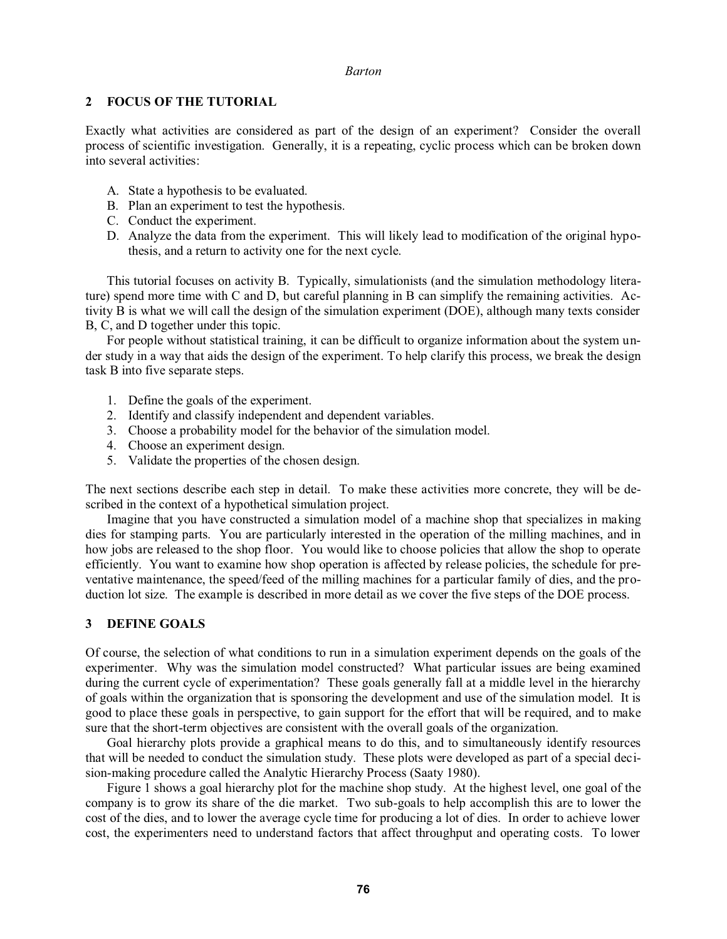# **2 FOCUS OF THE TUTORIAL**

Exactly what activities are considered as part of the design of an experiment? Consider the overall process of scientific investigation. Generally, it is a repeating, cyclic process which can be broken down into several activities:

- A. State a hypothesis to be evaluated.
- B. Plan an experiment to test the hypothesis.
- C. Conduct the experiment.
- D. Analyze the data from the experiment. This will likely lead to modification of the original hypothesis, and a return to activity one for the next cycle.

This tutorial focuses on activity B. Typically, simulationists (and the simulation methodology literature) spend more time with C and D, but careful planning in B can simplify the remaining activities. Activity B is what we will call the design of the simulation experiment (DOE), although many texts consider B, C, and D together under this topic.

For people without statistical training, it can be difficult to organize information about the system under study in a way that aids the design of the experiment. To help clarify this process, we break the design task B into five separate steps.

- 1. Define the goals of the experiment.
- 2. Identify and classify independent and dependent variables.
- 3. Choose a probability model for the behavior of the simulation model.
- 4. Choose an experiment design.
- 5. Validate the properties of the chosen design.

The next sections describe each step in detail. To make these activities more concrete, they will be described in the context of a hypothetical simulation project.

Imagine that you have constructed a simulation model of a machine shop that specializes in making dies for stamping parts. You are particularly interested in the operation of the milling machines, and in how jobs are released to the shop floor. You would like to choose policies that allow the shop to operate efficiently. You want to examine how shop operation is affected by release policies, the schedule for preventative maintenance, the speed/feed of the milling machines for a particular family of dies, and the production lot size. The example is described in more detail as we cover the five steps of the DOE process.

# **3 DEFINE GOALS**

Of course, the selection of what conditions to run in a simulation experiment depends on the goals of the experimenter. Why was the simulation model constructed? What particular issues are being examined during the current cycle of experimentation? These goals generally fall at a middle level in the hierarchy of goals within the organization that is sponsoring the development and use of the simulation model. It is good to place these goals in perspective, to gain support for the effort that will be required, and to make sure that the short-term objectives are consistent with the overall goals of the organization.

Goal hierarchy plots provide a graphical means to do this, and to simultaneously identify resources that will be needed to conduct the simulation study. These plots were developed as part of a special decision-making procedure called the Analytic Hierarchy Process (Saaty 1980).

Figure 1 shows a goal hierarchy plot for the machine shop study. At the highest level, one goal of the company is to grow its share of the die market. Two sub-goals to help accomplish this are to lower the cost of the dies, and to lower the average cycle time for producing a lot of dies. In order to achieve lower cost, the experimenters need to understand factors that affect throughput and operating costs. To lower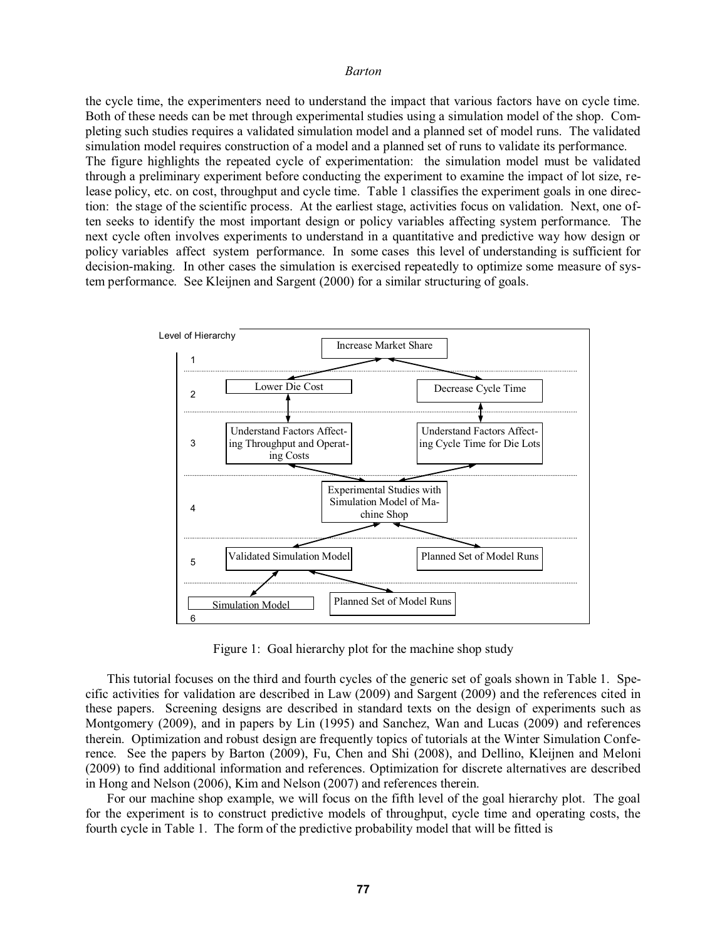the cycle time, the experimenters need to understand the impact that various factors have on cycle time. Both of these needs can be met through experimental studies using a simulation model of the shop. Completing such studies requires a validated simulation model and a planned set of model runs. The validated simulation model requires construction of a model and a planned set of runs to validate its performance. The figure highlights the repeated cycle of experimentation: the simulation model must be validated through a preliminary experiment before conducting the experiment to examine the impact of lot size, release policy, etc. on cost, throughput and cycle time. Table 1 classifies the experiment goals in one direction: the stage of the scientific process. At the earliest stage, activities focus on validation. Next, one often seeks to identify the most important design or policy variables affecting system performance. The next cycle often involves experiments to understand in a quantitative and predictive way how design or policy variables affect system performance. In some cases this level of understanding is sufficient for decision-making. In other cases the simulation is exercised repeatedly to optimize some measure of system performance. See Kleijnen and Sargent (2000) for a similar structuring of goals.



Figure 1: Goal hierarchy plot for the machine shop study

This tutorial focuses on the third and fourth cycles of the generic set of goals shown in Table 1. Specific activities for validation are described in Law (2009) and Sargent (2009) and the references cited in these papers. Screening designs are described in standard texts on the design of experiments such as Montgomery (2009), and in papers by Lin (1995) and Sanchez, Wan and Lucas (2009) and references therein. Optimization and robust design are frequently topics of tutorials at the Winter Simulation Conference. See the papers by Barton (2009), Fu, Chen and Shi (2008), and Dellino, Kleijnen and Meloni (2009) to find additional information and references. Optimization for discrete alternatives are described in Hong and Nelson (2006), Kim and Nelson (2007) and references therein.

For our machine shop example, we will focus on the fifth level of the goal hierarchy plot. The goal for the experiment is to construct predictive models of throughput, cycle time and operating costs, the fourth cycle in Table 1. The form of the predictive probability model that will be fitted is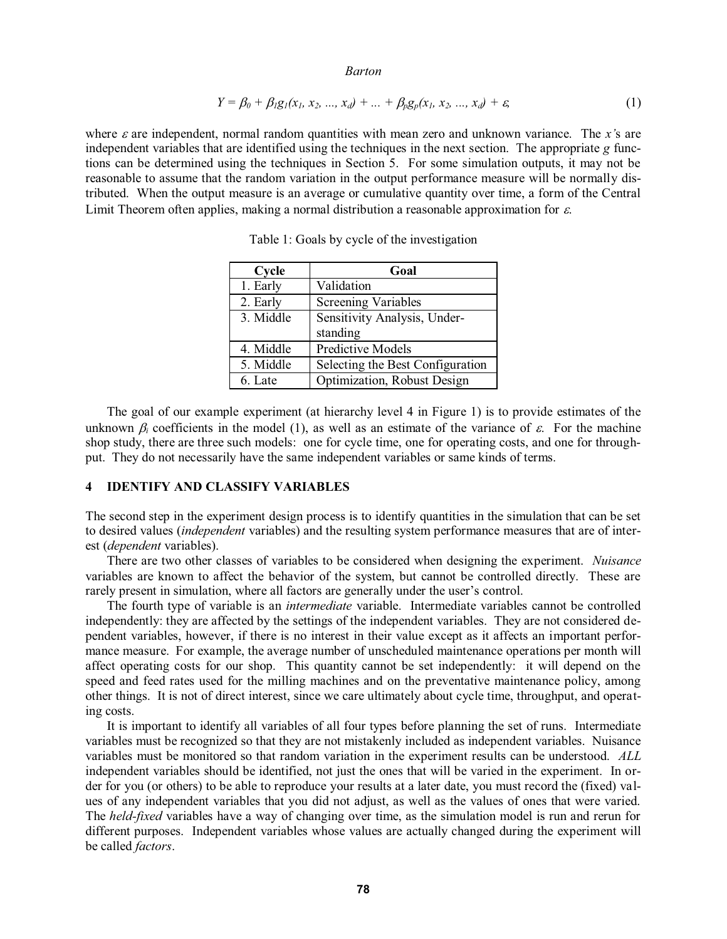$$
Y = \beta_0 + \beta_1 g_1(x_1, x_2, ..., x_d) + ... + \beta_p g_p(x_1, x_2, ..., x_d) + \varepsilon,
$$
\n(1)

where  $\varepsilon$  are independent, normal random quantities with mean zero and unknown variance. The *x*'s are independent variables that are identified using the techniques in the next section. The appropriate *g* functions can be determined using the techniques in Section 5. For some simulation outputs, it may not be reasonable to assume that the random variation in the output performance measure will be normally distributed. When the output measure is an average or cumulative quantity over time, a form of the Central Limit Theorem often applies, making a normal distribution a reasonable approximation for  $\varepsilon$ .

| Cycle     | Goal                             |  |  |
|-----------|----------------------------------|--|--|
| 1. Early  | Validation                       |  |  |
| 2. Early  | <b>Screening Variables</b>       |  |  |
| 3. Middle | Sensitivity Analysis, Under-     |  |  |
|           | standing                         |  |  |
| 4. Middle | <b>Predictive Models</b>         |  |  |
| 5. Middle | Selecting the Best Configuration |  |  |
| 6. Late   | Optimization, Robust Design      |  |  |

Table 1: Goals by cycle of the investigation

The goal of our example experiment (at hierarchy level 4 in Figure 1) is to provide estimates of the unknown  $\beta_i$  coefficients in the model (1), as well as an estimate of the variance of  $\varepsilon$ . For the machine shop study, there are three such models: one for cycle time, one for operating costs, and one for throughput. They do not necessarily have the same independent variables or same kinds of terms.

# **4 IDENTIFY AND CLASSIFY VARIABLES**

The second step in the experiment design process is to identify quantities in the simulation that can be set to desired values (*independent* variables) and the resulting system performance measures that are of interest (*dependent* variables).

There are two other classes of variables to be considered when designing the experiment. *Nuisance* variables are known to affect the behavior of the system, but cannot be controlled directly. These are rarely present in simulation, where all factors are generally under the user's control.

The fourth type of variable is an *intermediate* variable. Intermediate variables cannot be controlled independently: they are affected by the settings of the independent variables. They are not considered dependent variables, however, if there is no interest in their value except as it affects an important performance measure. For example, the average number of unscheduled maintenance operations per month will affect operating costs for our shop. This quantity cannot be set independently: it will depend on the speed and feed rates used for the milling machines and on the preventative maintenance policy, among other things. It is not of direct interest, since we care ultimately about cycle time, throughput, and operating costs.

It is important to identify all variables of all four types before planning the set of runs. Intermediate variables must be recognized so that they are not mistakenly included as independent variables. Nuisance variables must be monitored so that random variation in the experiment results can be understood. *ALL* independent variables should be identified, not just the ones that will be varied in the experiment. In order for you (or others) to be able to reproduce your results at a later date, you must record the (fixed) values of any independent variables that you did not adjust, as well as the values of ones that were varied. The *held-fixed* variables have a way of changing over time, as the simulation model is run and rerun for different purposes. Independent variables whose values are actually changed during the experiment will be called *factors*.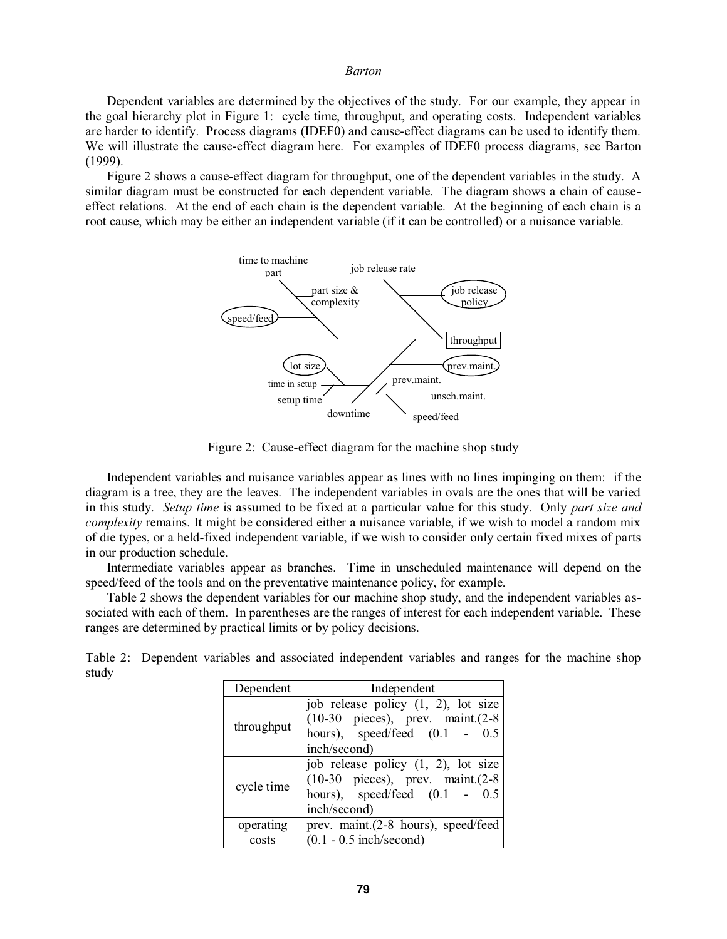Dependent variables are determined by the objectives of the study. For our example, they appear in the goal hierarchy plot in Figure 1: cycle time, throughput, and operating costs. Independent variables are harder to identify. Process diagrams (IDEF0) and cause-effect diagrams can be used to identify them. We will illustrate the cause-effect diagram here. For examples of IDEF0 process diagrams, see Barton (1999).

Figure 2 shows a cause-effect diagram for throughput, one of the dependent variables in the study. A similar diagram must be constructed for each dependent variable. The diagram shows a chain of causeeffect relations. At the end of each chain is the dependent variable. At the beginning of each chain is a root cause, which may be either an independent variable (if it can be controlled) or a nuisance variable.



Figure 2: Cause-effect diagram for the machine shop study

Independent variables and nuisance variables appear as lines with no lines impinging on them: if the diagram is a tree, they are the leaves. The independent variables in ovals are the ones that will be varied in this study. *Setup time* is assumed to be fixed at a particular value for this study. Only *part size and complexity* remains. It might be considered either a nuisance variable, if we wish to model a random mix of die types, or a held-fixed independent variable, if we wish to consider only certain fixed mixes of parts in our production schedule.

Intermediate variables appear as branches. Time in unscheduled maintenance will depend on the speed/feed of the tools and on the preventative maintenance policy, for example.

Table 2 shows the dependent variables for our machine shop study, and the independent variables associated with each of them. In parentheses are the ranges of interest for each independent variable. These ranges are determined by practical limits or by policy decisions.

Table 2: Dependent variables and associated independent variables and ranges for the machine shop study

| Dependent  | Independent                             |  |  |  |  |
|------------|-----------------------------------------|--|--|--|--|
| throughput | job release policy (1, 2), lot size     |  |  |  |  |
|            | $(10-30)$ pieces), prev. maint. $(2-8)$ |  |  |  |  |
|            | hours), speed/feed $(0.1 - 0.5)$        |  |  |  |  |
|            | inch/second)                            |  |  |  |  |
| cycle time | job release policy $(1, 2)$ , lot size  |  |  |  |  |
|            | $(10-30)$ pieces), prev. maint. $(2-8)$ |  |  |  |  |
|            | hours), speed/feed $(0.1 - 0.5)$        |  |  |  |  |
|            | inch/second)                            |  |  |  |  |
| operating  | prev. maint.(2-8 hours), speed/feed     |  |  |  |  |
| costs      | $(0.1 - 0.5$ inch/second)               |  |  |  |  |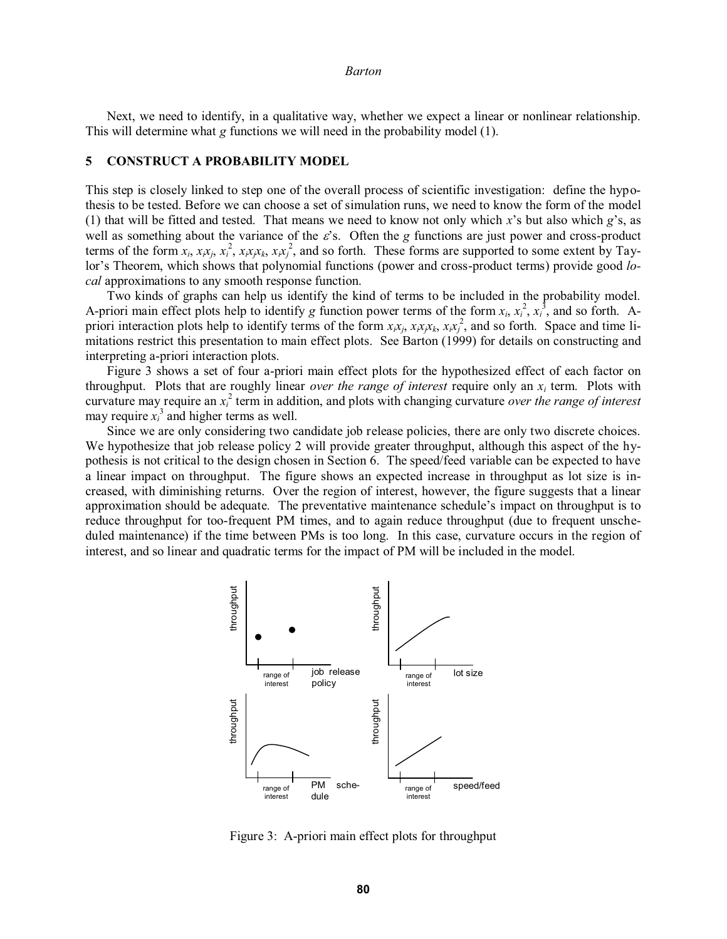Next, we need to identify, in a qualitative way, whether we expect a linear or nonlinear relationship. This will determine what *g* functions we will need in the probability model (1).

### **5 CONSTRUCT A PROBABILITY MODEL**

This step is closely linked to step one of the overall process of scientific investigation: define the hypothesis to be tested. Before we can choose a set of simulation runs, we need to know the form of the model (1) that will be fitted and tested. That means we need to know not only which  $x$ 's but also which  $g$ 's, as well as something about the variance of the  $\varepsilon$ 's. Often the  $g$  functions are just power and cross-product terms of the form  $x_i$ ,  $x_ix_j$ ,  $x_i^2$ ,  $x_ix_jx_k$ ,  $x_ix_j^2$ , and so forth. These forms are supported to some extent by Taylor's Theorem, which shows that polynomial functions (power and cross-product terms) provide good *local* approximations to any smooth response function.

Two kinds of graphs can help us identify the kind of terms to be included in the probability model. A-priori main effect plots help to identify *g* function power terms of the form  $x_i$ ,  $x_i^2$ ,  $x_i^3$ , and so forth. Apriori interaction plots help to identify terms of the form  $x_i x_j$ ,  $x_i x_j x_k$ ,  $x_i x_j^2$ , and so forth. Space and time limitations restrict this presentation to main effect plots. See Barton (1999) for details on constructing and interpreting a-priori interaction plots.

Figure 3 shows a set of four a-priori main effect plots for the hypothesized effect of each factor on throughput. Plots that are roughly linear *over the range of interest* require only an *xi* term. Plots with curvature may require an  $x_i^2$  term in addition, and plots with changing curvature *over the range of interest* may require  $x_i^3$  and higher terms as well.

Since we are only considering two candidate job release policies, there are only two discrete choices. We hypothesize that job release policy 2 will provide greater throughput, although this aspect of the hypothesis is not critical to the design chosen in Section 6. The speed/feed variable can be expected to have a linear impact on throughput. The figure shows an expected increase in throughput as lot size is increased, with diminishing returns. Over the region of interest, however, the figure suggests that a linear approximation should be adequate. The preventative maintenance schedule's impact on throughput is to reduce throughput for too-frequent PM times, and to again reduce throughput (due to frequent unscheduled maintenance) if the time between PMs is too long. In this case, curvature occurs in the region of interest, and so linear and quadratic terms for the impact of PM will be included in the model.



Figure 3: A-priori main effect plots for throughput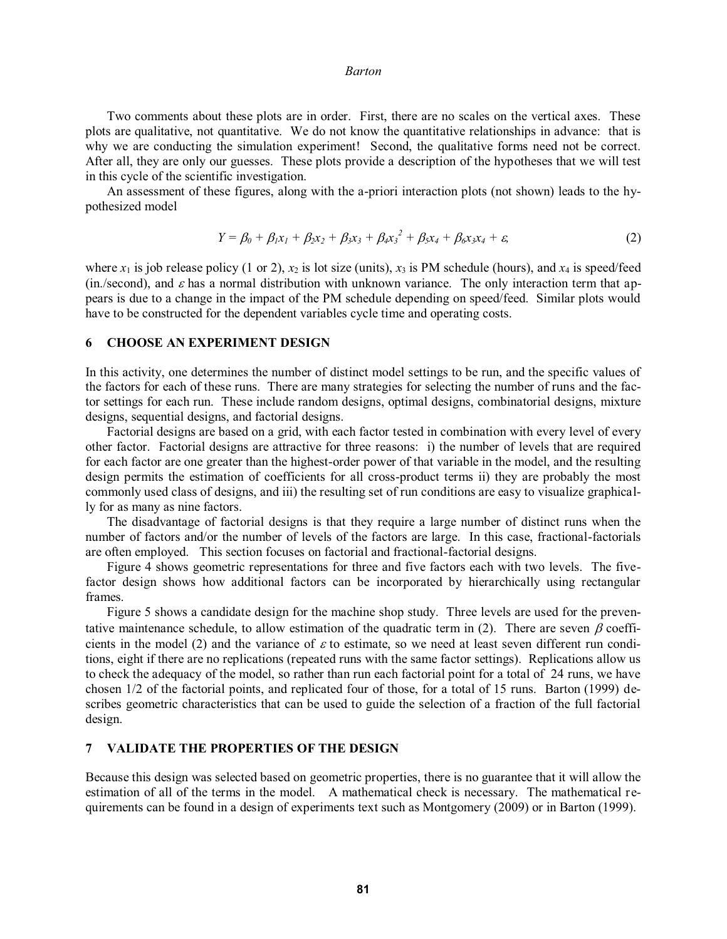Two comments about these plots are in order. First, there are no scales on the vertical axes. These plots are qualitative, not quantitative. We do not know the quantitative relationships in advance: that is why we are conducting the simulation experiment! Second, the qualitative forms need not be correct. After all, they are only our guesses. These plots provide a description of the hypotheses that we will test in this cycle of the scientific investigation.

An assessment of these figures, along with the a-priori interaction plots (not shown) leads to the hypothesized model

$$
Y = \beta_0 + \beta_1 x_1 + \beta_2 x_2 + \beta_3 x_3 + \beta_4 x_3^2 + \beta_5 x_4 + \beta_6 x_3 x_4 + \varepsilon,\tag{2}
$$

where  $x_1$  is job release policy (1 or 2),  $x_2$  is lot size (units),  $x_3$  is PM schedule (hours), and  $x_4$  is speed/feed (in./second), and  $\varepsilon$  has a normal distribution with unknown variance. The only interaction term that appears is due to a change in the impact of the PM schedule depending on speed/feed. Similar plots would have to be constructed for the dependent variables cycle time and operating costs.

# **6 CHOOSE AN EXPERIMENT DESIGN**

In this activity, one determines the number of distinct model settings to be run, and the specific values of the factors for each of these runs. There are many strategies for selecting the number of runs and the factor settings for each run. These include random designs, optimal designs, combinatorial designs, mixture designs, sequential designs, and factorial designs.

Factorial designs are based on a grid, with each factor tested in combination with every level of every other factor. Factorial designs are attractive for three reasons: i) the number of levels that are required for each factor are one greater than the highest-order power of that variable in the model, and the resulting design permits the estimation of coefficients for all cross-product terms ii) they are probably the most commonly used class of designs, and iii) the resulting set of run conditions are easy to visualize graphically for as many as nine factors.

The disadvantage of factorial designs is that they require a large number of distinct runs when the number of factors and/or the number of levels of the factors are large. In this case, fractional-factorials are often employed. This section focuses on factorial and fractional-factorial designs.

Figure 4 shows geometric representations for three and five factors each with two levels. The fivefactor design shows how additional factors can be incorporated by hierarchically using rectangular frames.

Figure 5 shows a candidate design for the machine shop study. Three levels are used for the preventative maintenance schedule, to allow estimation of the quadratic term in (2). There are seven  $\beta$  coefficients in the model (2) and the variance of  $\varepsilon$  to estimate, so we need at least seven different run conditions, eight if there are no replications (repeated runs with the same factor settings). Replications allow us to check the adequacy of the model, so rather than run each factorial point for a total of 24 runs, we have chosen 1/2 of the factorial points, and replicated four of those, for a total of 15 runs. Barton (1999) describes geometric characteristics that can be used to guide the selection of a fraction of the full factorial design.

### **7 VALIDATE THE PROPERTIES OF THE DESIGN**

Because this design was selected based on geometric properties, there is no guarantee that it will allow the estimation of all of the terms in the model. A mathematical check is necessary. The mathematical requirements can be found in a design of experiments text such as Montgomery (2009) or in Barton (1999).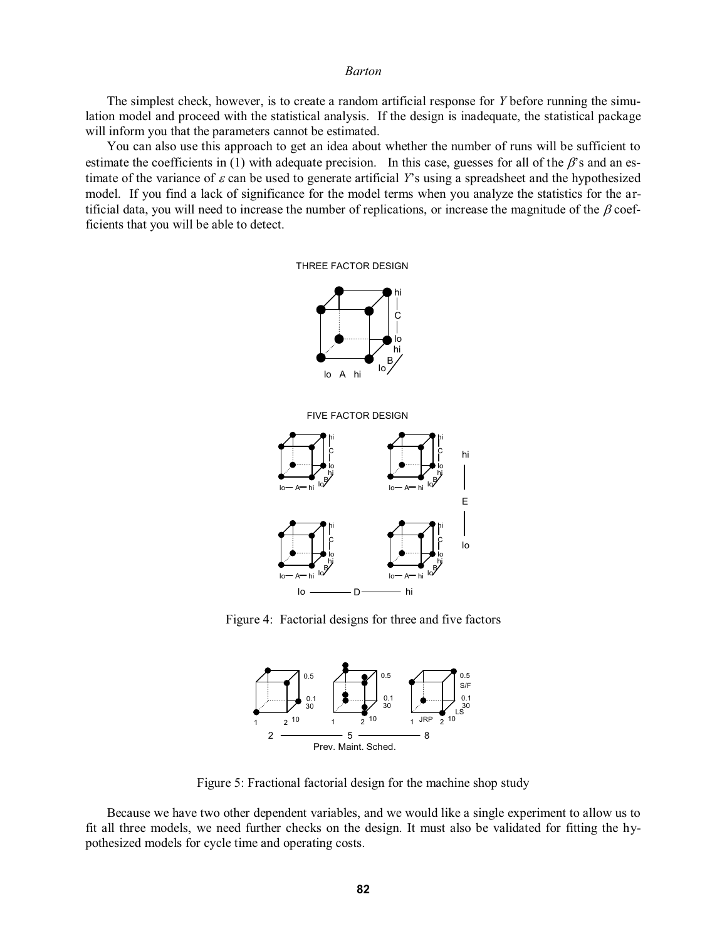The simplest check, however, is to create a random artificial response for *Y* before running the simulation model and proceed with the statistical analysis. If the design is inadequate, the statistical package will inform you that the parameters cannot be estimated.

You can also use this approach to get an idea about whether the number of runs will be sufficient to estimate the coefficients in (1) with adequate precision. In this case, guesses for all of the  $\beta$ 's and an estimate of the variance of  $\varepsilon$  can be used to generate artificial  $Y$ s using a spreadsheet and the hypothesized model. If you find a lack of significance for the model terms when you analyze the statistics for the artificial data, you will need to increase the number of replications, or increase the magnitude of the  $\beta$  coefficients that you will be able to detect.

THREE FACTOR DESIGN



Figure 4: Factorial designs for three and five factors



Figure 5: Fractional factorial design for the machine shop study

Because we have two other dependent variables, and we would like a single experiment to allow us to fit all three models, we need further checks on the design. It must also be validated for fitting the hypothesized models for cycle time and operating costs.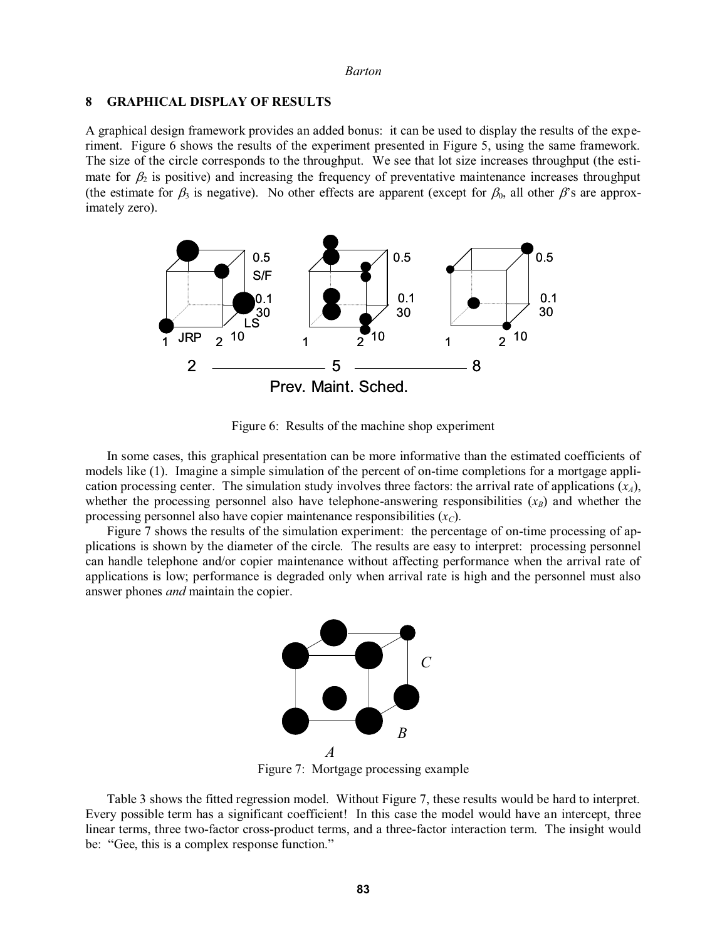### **8 GRAPHICAL DISPLAY OF RESULTS**

A graphical design framework provides an added bonus: it can be used to display the results of the experiment. Figure 6 shows the results of the experiment presented in Figure 5, using the same framework. The size of the circle corresponds to the throughput. We see that lot size increases throughput (the estimate for  $\beta_2$  is positive) and increasing the frequency of preventative maintenance increases throughput (the estimate for  $\beta_3$  is negative). No other effects are apparent (except for  $\beta_0$ , all other  $\beta$ 's are approximately zero).



Figure 6: Results of the machine shop experiment

In some cases, this graphical presentation can be more informative than the estimated coefficients of models like (1). Imagine a simple simulation of the percent of on-time completions for a mortgage application processing center. The simulation study involves three factors: the arrival rate of applications  $(x_4)$ , whether the processing personnel also have telephone-answering responsibilities  $(x_B)$  and whether the processing personnel also have copier maintenance responsibilities  $(x<sub>C</sub>)$ .

Figure 7 shows the results of the simulation experiment: the percentage of on-time processing of applications is shown by the diameter of the circle. The results are easy to interpret: processing personnel can handle telephone and/or copier maintenance without affecting performance when the arrival rate of applications is low; performance is degraded only when arrival rate is high and the personnel must also answer phones *and* maintain the copier.



Figure 7: Mortgage processing example

Table 3 shows the fitted regression model. Without Figure 7, these results would be hard to interpret. Every possible term has a significant coefficient! In this case the model would have an intercept, three linear terms, three two-factor cross-product terms, and a three-factor interaction term. The insight would be: "Gee, this is a complex response function."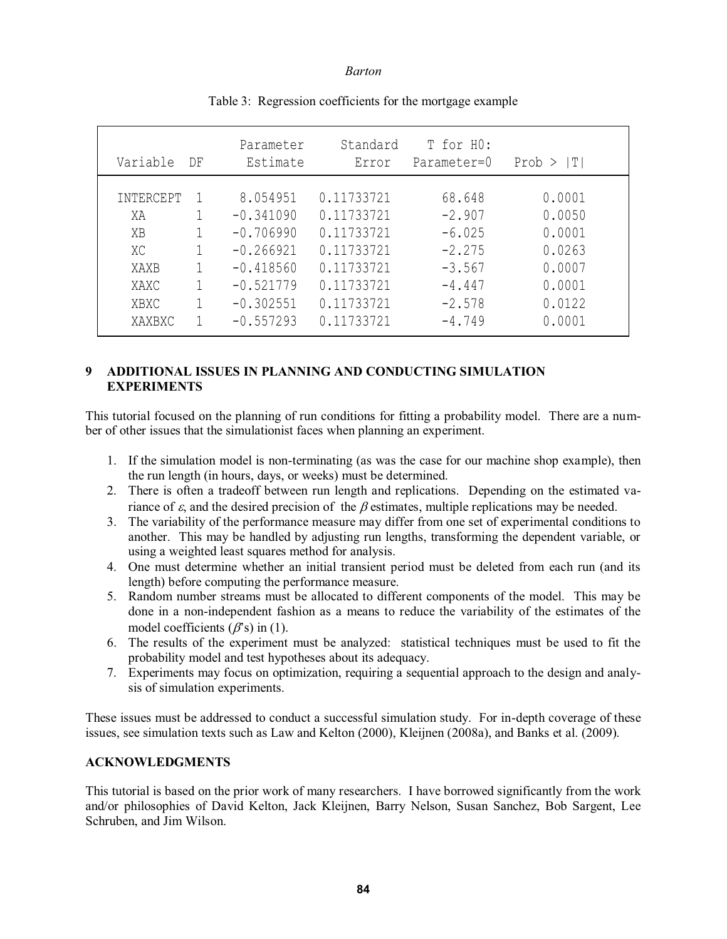| Variable  | DF | Parameter<br>Estimate | Standard<br>Error | T for HO:<br>Parameter=0 | Prob >  T |
|-----------|----|-----------------------|-------------------|--------------------------|-----------|
| INTERCEPT |    | 8.054951              | 0.11733721        | 68.648                   | 0.0001    |
| XA        |    | $-0.341090$           | 0.11733721        | $-2.907$                 | 0.0050    |
| ΧB        |    | $-0.706990$           | 0.11733721        | $-6.025$                 | 0.0001    |
| ХC        |    | $-0.266921$           | 0.11733721        | $-2.275$                 | 0.0263    |
| XAXB      |    | $-0.418560$           | 0.11733721        | $-3.567$                 | 0.0007    |
| XAXC      |    | $-0.521779$           | 0.11733721        | $-4.447$                 | 0.0001    |
| XBXC      |    | $-0.302551$           | 0.11733721        | $-2.578$                 | 0.0122    |
| XAXBXC    |    | $-0.557293$           | 0.11733721        | $-4.749$                 | 0.0001    |

# Table 3: Regression coefficients for the mortgage example

# **9 ADDITIONAL ISSUES IN PLANNING AND CONDUCTING SIMULATION EXPERIMENTS**

This tutorial focused on the planning of run conditions for fitting a probability model. There are a number of other issues that the simulationist faces when planning an experiment.

- 1. If the simulation model is non-terminating (as was the case for our machine shop example), then the run length (in hours, days, or weeks) must be determined.
- 2. There is often a tradeoff between run length and replications. Depending on the estimated variance of  $\varepsilon$ , and the desired precision of the  $\beta$  estimates, multiple replications may be needed.
- 3. The variability of the performance measure may differ from one set of experimental conditions to another. This may be handled by adjusting run lengths, transforming the dependent variable, or using a weighted least squares method for analysis.
- 4. One must determine whether an initial transient period must be deleted from each run (and its length) before computing the performance measure.
- 5. Random number streams must be allocated to different components of the model. This may be done in a non-independent fashion as a means to reduce the variability of the estimates of the model coefficients  $(\beta s)$  in (1).
- 6. The results of the experiment must be analyzed: statistical techniques must be used to fit the probability model and test hypotheses about its adequacy.
- 7. Experiments may focus on optimization, requiring a sequential approach to the design and analysis of simulation experiments.

These issues must be addressed to conduct a successful simulation study. For in-depth coverage of these issues, see simulation texts such as Law and Kelton (2000), Kleijnen (2008a), and Banks et al. (2009).

# **ACKNOWLEDGMENTS**

This tutorial is based on the prior work of many researchers. I have borrowed significantly from the work and/or philosophies of David Kelton, Jack Kleijnen, Barry Nelson, Susan Sanchez, Bob Sargent, Lee Schruben, and Jim Wilson.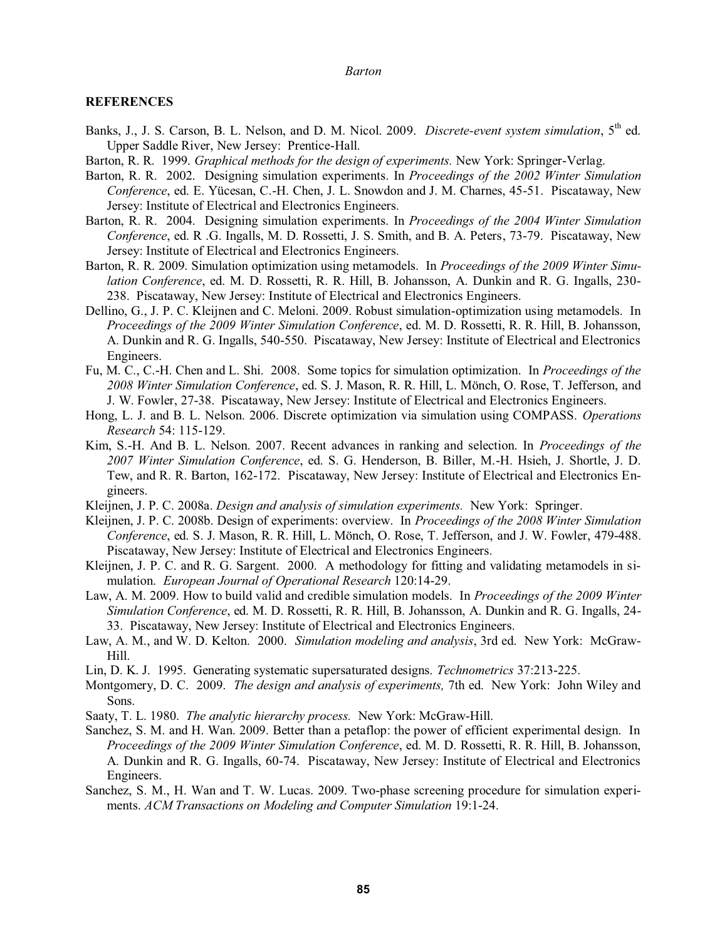## **REFERENCES**

- Banks, J., J. S. Carson, B. L. Nelson, and D. M. Nicol. 2009. *Discrete-event system simulation*, 5<sup>th</sup> ed. Upper Saddle River, New Jersey: Prentice-Hall.
- Barton, R. R. 1999. *Graphical methods for the design of experiments.* New York: Springer-Verlag.
- Barton, R. R. 2002. Designing simulation experiments. In *Proceedings of the 2002 Winter Simulation Conference*, ed. E. Yücesan, C.-H. Chen, J. L. Snowdon and J. M. Charnes, 45-51. Piscataway, New Jersey: Institute of Electrical and Electronics Engineers.
- Barton, R. R. 2004. Designing simulation experiments. In *Proceedings of the 2004 Winter Simulation Conference*, ed. R .G. Ingalls, M. D. Rossetti, J. S. Smith, and B. A. Peters, 73-79. Piscataway, New Jersey: Institute of Electrical and Electronics Engineers.
- Barton, R. R. 2009. Simulation optimization using metamodels. In *Proceedings of the 2009 Winter Simulation Conference*, ed. M. D. Rossetti, R. R. Hill, B. Johansson, A. Dunkin and R. G. Ingalls, 230- 238. Piscataway, New Jersey: Institute of Electrical and Electronics Engineers.
- Dellino, G., J. P. C. Kleijnen and C. Meloni. 2009. Robust simulation-optimization using metamodels. In *Proceedings of the 2009 Winter Simulation Conference*, ed. M. D. Rossetti, R. R. Hill, B. Johansson, A. Dunkin and R. G. Ingalls, 540-550. Piscataway, New Jersey: Institute of Electrical and Electronics Engineers.
- Fu, M. C., C.-H. Chen and L. Shi. 2008. Some topics for simulation optimization. In *Proceedings of the 2008 Winter Simulation Conference*, ed. S. J. Mason, R. R. Hill, L. Mönch, O. Rose, T. Jefferson, and J. W. Fowler, 27-38. Piscataway, New Jersey: Institute of Electrical and Electronics Engineers.
- Hong, L. J. and B. L. Nelson. 2006. Discrete optimization via simulation using COMPASS. *Operations Research* 54: 115-129.
- Kim, S.-H. And B. L. Nelson. 2007. Recent advances in ranking and selection. In *Proceedings of the 2007 Winter Simulation Conference*, ed. S. G. Henderson, B. Biller, M.-H. Hsieh, J. Shortle, J. D. Tew, and R. R. Barton, 162-172. Piscataway, New Jersey: Institute of Electrical and Electronics Engineers.
- Kleijnen, J. P. C. 2008a. *Design and analysis of simulation experiments.* New York: Springer.
- Kleijnen, J. P. C. 2008b. Design of experiments: overview. In *Proceedings of the 2008 Winter Simulation Conference*, ed. S. J. Mason, R. R. Hill, L. Mönch, O. Rose, T. Jefferson, and J. W. Fowler, 479-488. Piscataway, New Jersey: Institute of Electrical and Electronics Engineers.
- Kleijnen, J. P. C. and R. G. Sargent. 2000. A methodology for fitting and validating metamodels in simulation. *European Journal of Operational Research* 120:14-29.
- Law, A. M. 2009. How to build valid and credible simulation models. In *Proceedings of the 2009 Winter Simulation Conference*, ed. M. D. Rossetti, R. R. Hill, B. Johansson, A. Dunkin and R. G. Ingalls, 24- 33. Piscataway, New Jersey: Institute of Electrical and Electronics Engineers.
- Law, A. M., and W. D. Kelton. 2000. *Simulation modeling and analysis*, 3rd ed. New York: McGraw-Hill.
- Lin, D. K. J. 1995. Generating systematic supersaturated designs. *Technometrics* 37:213-225.
- Montgomery, D. C. 2009. *The design and analysis of experiments,* 7th ed. New York: John Wiley and Sons.
- Saaty, T. L. 1980. *The analytic hierarchy process.* New York: McGraw-Hill.
- Sanchez, S. M. and H. Wan. 2009. Better than a petaflop: the power of efficient experimental design. In *Proceedings of the 2009 Winter Simulation Conference*, ed. M. D. Rossetti, R. R. Hill, B. Johansson, A. Dunkin and R. G. Ingalls, 60-74. Piscataway, New Jersey: Institute of Electrical and Electronics Engineers.
- Sanchez, S. M., H. Wan and T. W. Lucas. 2009. Two-phase screening procedure for simulation experiments. *ACM Transactions on Modeling and Computer Simulation* 19:1-24.